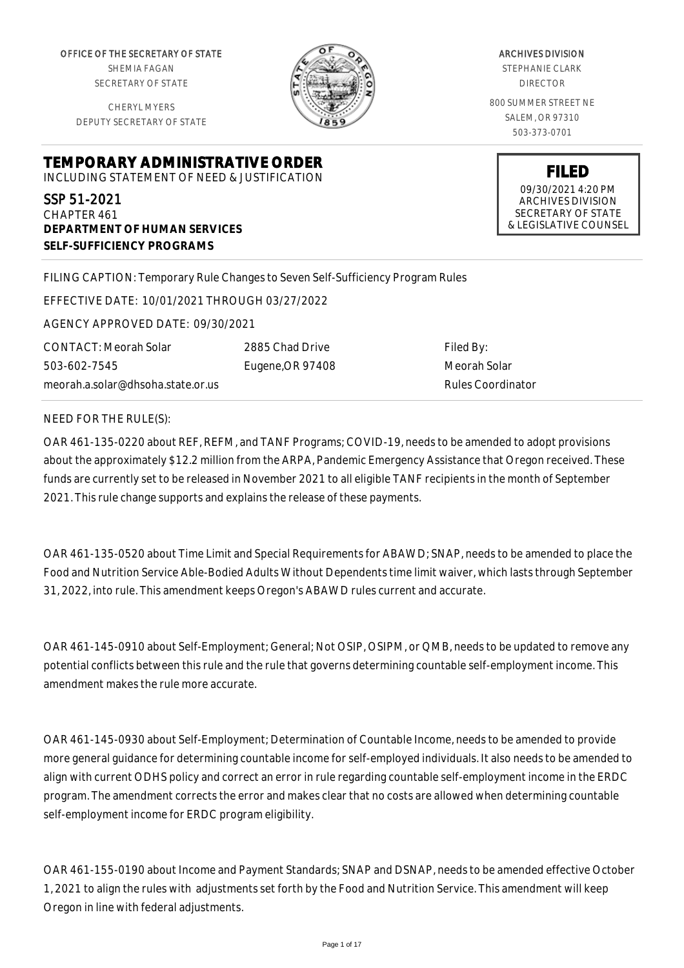OFFICE OF THE SECRETARY OF STATE SHEMIA FAGAN SECRETARY OF STATE

CHERYL MYERS DEPUTY SECRETARY OF STATE



ARCHIVES DIVISION STEPHANIE CLARK DIRECTOR 800 SUMMER STREET NE SALEM, OR 97310 503-373-0701

> **FILED** 09/30/2021 4:20 PM ARCHIVES DIVISION SECRETARY OF STATE & LEGISLATIVE COUNSEL

**TEMPORARY ADMINISTRATIVE ORDER** INCLUDING STATEMENT OF NEED & JUSTIFICATION

SSP 51-2021 CHAPTER 461 **DEPARTMENT OF HUMAN SERVICES SELF-SUFFICIENCY PROGRAMS**

FILING CAPTION: Temporary Rule Changes to Seven Self-Sufficiency Program Rules

EFFECTIVE DATE: 10/01/2021 THROUGH 03/27/2022

AGENCY APPROVED DATE: 09/30/2021

CONTACT: Meorah Solar 503-602-7545 meorah.a.solar@dhsoha.state.or.us 2885 Chad Drive Eugene,OR 97408

Filed By: Meorah Solar Rules Coordinator

NEED FOR THE RULE(S):

OAR 461-135-0220 about REF, REFM, and TANF Programs; COVID-19, needs to be amended to adopt provisions about the approximately \$12.2 million from the ARPA, Pandemic Emergency Assistance that Oregon received. These funds are currently set to be released in November 2021 to all eligible TANF recipients in the month of September 2021. This rule change supports and explains the release of these payments.

OAR 461-135-0520 about Time Limit and Special Requirements for ABAWD; SNAP, needs to be amended to place the Food and Nutrition Service Able-Bodied Adults Without Dependents time limit waiver, which lasts through September 31, 2022, into rule. This amendment keeps Oregon's ABAWD rules current and accurate.

OAR 461-145-0910 about Self-Employment; General; Not OSIP, OSIPM, or QMB, needs to be updated to remove any potential conflicts between this rule and the rule that governs determining countable self-employment income. This amendment makes the rule more accurate.

OAR 461-145-0930 about Self-Employment; Determination of Countable Income, needs to be amended to provide more general guidance for determining countable income for self-employed individuals. It also needs to be amended to align with current ODHS policy and correct an error in rule regarding countable self-employment income in the ERDC program. The amendment corrects the error and makes clear that no costs are allowed when determining countable self-employment income for ERDC program eligibility.

OAR 461-155-0190 about Income and Payment Standards; SNAP and DSNAP, needs to be amended effective October 1, 2021 to align the rules with adjustments set forth by the Food and Nutrition Service. This amendment will keep Oregon in line with federal adjustments.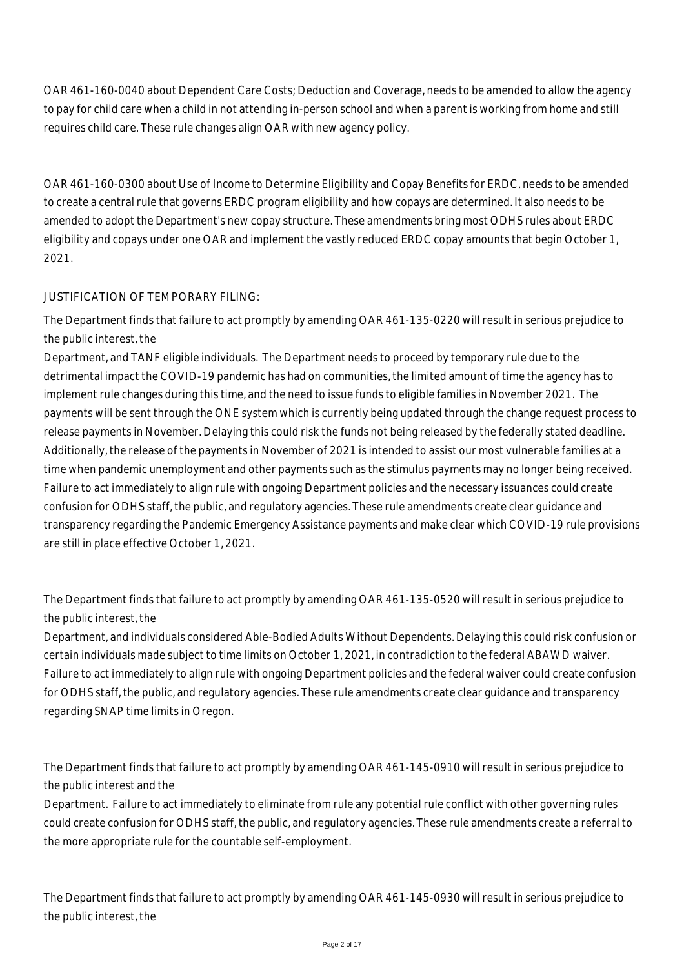OAR 461-160-0040 about Dependent Care Costs; Deduction and Coverage, needs to be amended to allow the agency to pay for child care when a child in not attending in-person school and when a parent is working from home and still requires child care. These rule changes align OAR with new agency policy.

OAR 461-160-0300 about Use of Income to Determine Eligibility and Copay Benefits for ERDC, needs to be amended to create a central rule that governs ERDC program eligibility and how copays are determined. It also needs to be amended to adopt the Department's new copay structure. These amendments bring most ODHS rules about ERDC eligibility and copays under one OAR and implement the vastly reduced ERDC copay amounts that begin October 1, 2021.

# JUSTIFICATION OF TEMPORARY FILING:

The Department finds that failure to act promptly by amending OAR 461-135-0220 will result in serious prejudice to the public interest, the

Department, and TANF eligible individuals. The Department needs to proceed by temporary rule due to the detrimental impact the COVID-19 pandemic has had on communities, the limited amount of time the agency has to implement rule changes during this time, and the need to issue funds to eligible families in November 2021. The payments will be sent through the ONE system which is currently being updated through the change request process to release payments in November. Delaying this could risk the funds not being released by the federally stated deadline. Additionally, the release of the payments in November of 2021 is intended to assist our most vulnerable families at a time when pandemic unemployment and other payments such as the stimulus payments may no longer being received. Failure to act immediately to align rule with ongoing Department policies and the necessary issuances could create confusion for ODHS staff, the public, and regulatory agencies. These rule amendments create clear guidance and transparency regarding the Pandemic Emergency Assistance payments and make clear which COVID-19 rule provisions are still in place effective October 1, 2021.

The Department finds that failure to act promptly by amending OAR 461-135-0520 will result in serious prejudice to the public interest, the

Department, and individuals considered Able-Bodied Adults Without Dependents. Delaying this could risk confusion or certain individuals made subject to time limits on October 1, 2021, in contradiction to the federal ABAWD waiver. Failure to act immediately to align rule with ongoing Department policies and the federal waiver could create confusion for ODHS staff, the public, and regulatory agencies. These rule amendments create clear guidance and transparency regarding SNAP time limits in Oregon.

The Department finds that failure to act promptly by amending OAR 461-145-0910 will result in serious prejudice to the public interest and the

Department. Failure to act immediately to eliminate from rule any potential rule conflict with other governing rules could create confusion for ODHS staff, the public, and regulatory agencies. These rule amendments create a referral to the more appropriate rule for the countable self-employment.

The Department finds that failure to act promptly by amending OAR 461-145-0930 will result in serious prejudice to the public interest, the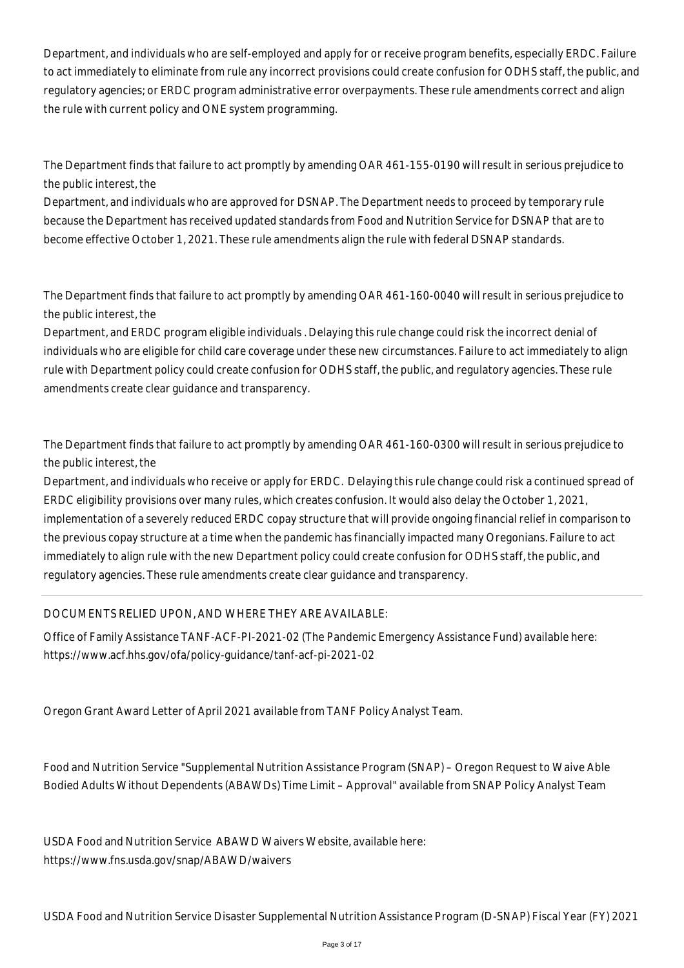Department, and individuals who are self-employed and apply for or receive program benefits, especially ERDC. Failure to act immediately to eliminate from rule any incorrect provisions could create confusion for ODHS staff, the public, and regulatory agencies; or ERDC program administrative error overpayments. These rule amendments correct and align the rule with current policy and ONE system programming.

The Department finds that failure to act promptly by amending OAR 461-155-0190 will result in serious prejudice to the public interest, the

Department, and individuals who are approved for DSNAP. The Department needs to proceed by temporary rule because the Department has received updated standards from Food and Nutrition Service for DSNAP that are to become effective October 1, 2021. These rule amendments align the rule with federal DSNAP standards.

The Department finds that failure to act promptly by amending OAR 461-160-0040 will result in serious prejudice to the public interest, the

Department, and ERDC program eligible individuals . Delaying this rule change could risk the incorrect denial of individuals who are eligible for child care coverage under these new circumstances. Failure to act immediately to align rule with Department policy could create confusion for ODHS staff, the public, and regulatory agencies. These rule amendments create clear guidance and transparency.

The Department finds that failure to act promptly by amending OAR 461-160-0300 will result in serious prejudice to the public interest, the

Department, and individuals who receive or apply for ERDC. Delaying this rule change could risk a continued spread of ERDC eligibility provisions over many rules, which creates confusion. It would also delay the October 1, 2021, implementation of a severely reduced ERDC copay structure that will provide ongoing financial relief in comparison to the previous copay structure at a time when the pandemic has financially impacted many Oregonians. Failure to act immediately to align rule with the new Department policy could create confusion for ODHS staff, the public, and regulatory agencies. These rule amendments create clear guidance and transparency.

DOCUMENTS RELIED UPON, AND WHERE THEY ARE AVAILABLE:

Office of Family Assistance TANF-ACF-PI-2021-02 (The Pandemic Emergency Assistance Fund) available here: https://www.acf.hhs.gov/ofa/policy-guidance/tanf-acf-pi-2021-02

Oregon Grant Award Letter of April 2021 available from TANF Policy Analyst Team.

Food and Nutrition Service "Supplemental Nutrition Assistance Program (SNAP) – Oregon Request to Waive Able Bodied Adults Without Dependents (ABAWDs) Time Limit – Approval" available from SNAP Policy Analyst Team

USDA Food and Nutrition Service ABAWD Waivers Website, available here: https://www.fns.usda.gov/snap/ABAWD/waivers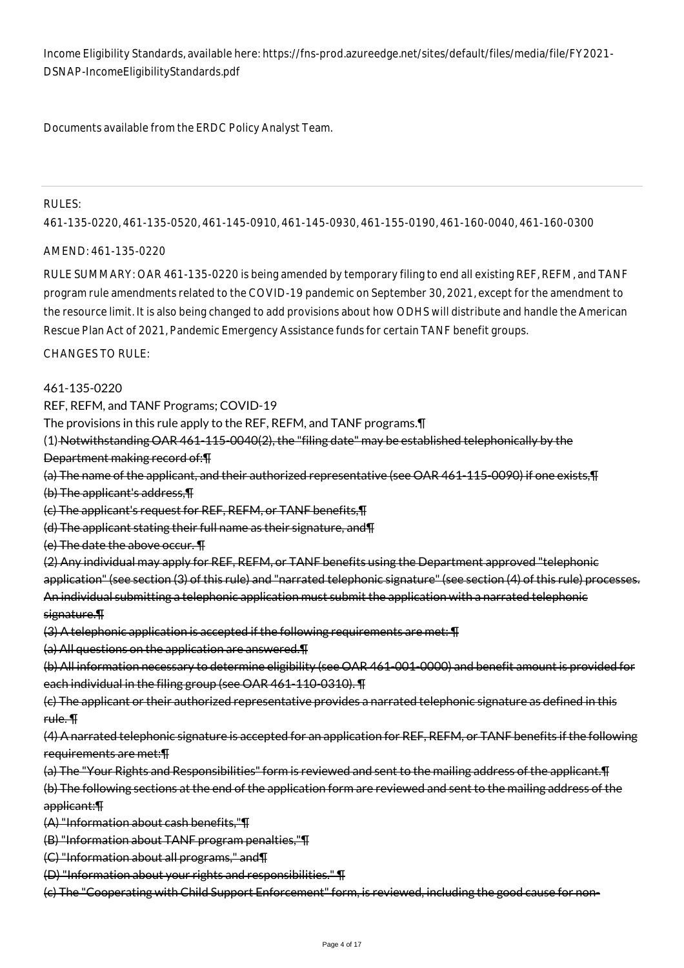Income Eligibility Standards, available here: https://fns-prod.azureedge.net/sites/default/files/media/file/FY2021- DSNAP-IncomeEligibilityStandards.pdf

Documents available from the ERDC Policy Analyst Team.

#### RULES:

461-135-0220, 461-135-0520, 461-145-0910, 461-145-0930, 461-155-0190, 461-160-0040, 461-160-0300

#### AMEND: 461-135-0220

RULE SUMMARY: OAR 461-135-0220 is being amended by temporary filing to end all existing REF, REFM, and TANF program rule amendments related to the COVID-19 pandemic on September 30, 2021, except for the amendment to the resource limit. It is also being changed to add provisions about how ODHS will distribute and handle the American Rescue Plan Act of 2021, Pandemic Emergency Assistance funds for certain TANF benefit groups.

#### CHANGES TO RULE:

461-135-0220

REF, REFM, and TANF Programs; COVID-19

The provisions in this rule apply to the REF, REFM, and TANF programs.¶

(1) Notwithstanding OAR 461-115-0040(2), the "filing date" may be established telephonically by the Department making record of:¶

(a) The name of the applicant, and their authorized representative (see OAR 461-115-0090) if one exists,¶

(b) The applicant's address,¶

(c) The applicant's request for REF, REFM, or TANF benefits,¶

(d) The applicant stating their full name as their signature, and¶

(e) The date the above occur. ¶

(2) Any individual may apply for REF, REFM, or TANF benefits using the Department approved "telephonic application" (see section (3) of this rule) and "narrated telephonic signature" (see section (4) of this rule) processes. An individual submitting a telephonic application must submit the application with a narrated telephonic signature.¶

(3) A telephonic application is accepted if the following requirements are met: ¶

(a) All questions on the application are answered.¶

(b) All information necessary to determine eligibility (see OAR 461-001-0000) and benefit amount is provided for each individual in the filing group (see OAR 461-110-0310). ¶

(c) The applicant or their authorized representative provides a narrated telephonic signature as defined in this rule. ¶

(4) A narrated telephonic signature is accepted for an application for REF, REFM, or TANF benefits if the following requirements are met:¶

(a) The "Your Rights and Responsibilities" form is reviewed and sent to the mailing address of the applicant.¶

(b) The following sections at the end of the application form are reviewed and sent to the mailing address of the applicant:¶

(A) "Information about cash benefits,"¶

(B) "Information about TANF program penalties,"¶

(C) "Information about all programs," and¶

(D) "Information about your rights and responsibilities." ¶

(c) The "Cooperating with Child Support Enforcement" form, is reviewed, including the good cause for non-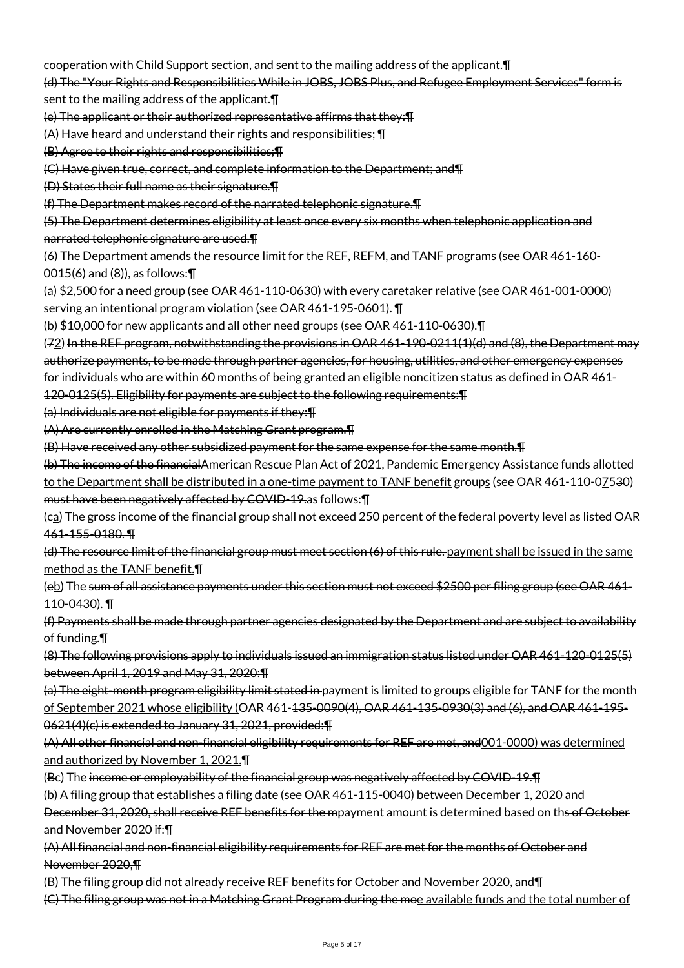cooperation with Child Support section, and sent to the mailing address of the applicant.¶

(d) The "Your Rights and Responsibilities While in JOBS, JOBS Plus, and Refugee Employment Services" form is sent to the mailing address of the applicant.¶

(e) The applicant or their authorized representative affirms that they:¶

(A) Have heard and understand their rights and responsibilities; ¶

(B) Agree to their rights and responsibilities;¶

(C) Have given true, correct, and complete information to the Department; and¶

(D) States their full name as their signature.¶

(f) The Department makes record of the narrated telephonic signature.¶

(5) The Department determines eligibility at least once every six months when telephonic application and narrated telephonic signature are used.¶

(6) The Department amends the resource limit for the REF, REFM, and TANF programs (see OAR 461-160- 0015(6) and (8)), as follows:¶

(a) \$2,500 for a need group (see OAR 461-110-0630) with every caretaker relative (see OAR 461-001-0000) serving an intentional program violation (see OAR 461-195-0601). ¶

(b)  $$10,000$  for new applicants and all other need groups (see OAR 461-110-0630).

(72) In the REF program, notwithstanding the provisions in OAR 461-190-0211(1)(d) and (8), the Department may authorize payments, to be made through partner agencies, for housing, utilities, and other emergency expenses for individuals who are within 60 months of being granted an eligible noncitizen status as defined in OAR 461- 120-0125(5). Eligibility for payments are subject to the following requirements:¶

(a) Individuals are not eligible for payments if they:¶

(A) Are currently enrolled in the Matching Grant program.¶

(B) Have received any other subsidized payment for the same expense for the same month.¶

(b) The income of the financialAmerican Rescue Plan Act of 2021, Pandemic Emergency Assistance funds allotted to the Department shall be distributed in a one-time payment to TANF benefit groups (see OAR 461-110-07530) must have been negatively affected by COVID-19.as follows:¶

(ca) The gross income of the financial group shall not exceed 250 percent of the federal poverty level as listed OAR 461-155-0180. ¶

(d) The resource limit of the financial group must meet section (6) of this rule. payment shall be issued in the same method as the TANF benefit.¶

(eb) The sum of all assistance payments under this section must not exceed \$2500 per filing group (see OAR 461- 110-0430). ¶

(f) Payments shall be made through partner agencies designated by the Department and are subject to availability of funding.¶

(8) The following provisions apply to individuals issued an immigration status listed under OAR 461-120-0125(5) between April 1, 2019 and May 31, 2020:¶

(a) The eight-month program eligibility limit stated in payment is limited to groups eligible for TANF for the month of September 2021 whose eligibility (OAR 461-135-0090(4), OAR 461-135-0930(3) and (6), and OAR 461-195- 0621(4)(c) is extended to January 31, 2021, provided:¶

(A) All other financial and non-financial eligibility requirements for REF are met, and001-0000) was determined and authorized by November 1, 2021.¶

(Bc) The income or employability of the financial group was negatively affected by COVID-19.¶

(b) A filing group that establishes a filing date (see OAR 461-115-0040) between December 1, 2020 and

December 31, 2020, shall receive REF benefits for the mpayment amount is determined based on ths of October and November 2020 if:¶

(A) All financial and non-financial eligibility requirements for REF are met for the months of October and November 2020,¶

(B) The filing group did not already receive REF benefits for October and November 2020, and¶

(C) The filing group was not in a Matching Grant Program during the moe available funds and the total number of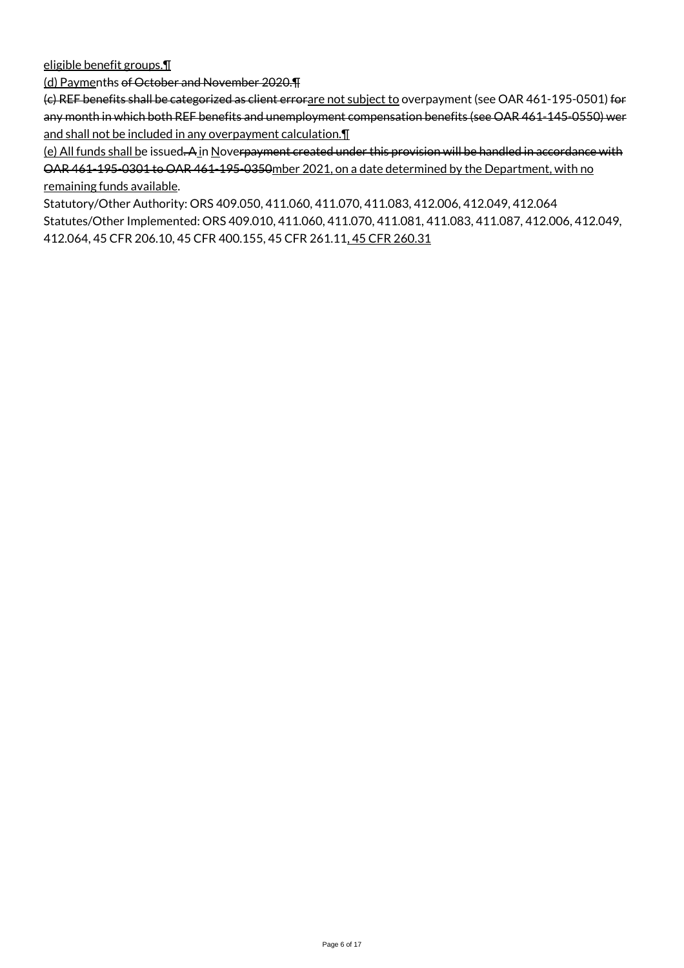eligible benefit groups.¶

(d) Paymenths of October and November 2020.¶

(c) REF benefits shall be categorized as client errorare not subject to overpayment (see OAR 461-195-0501) for any month in which both REF benefits and unemployment compensation benefits (see OAR 461-145-0550) wer and shall not be included in any overpayment calculation.¶

(e) All funds shall be issued. A in Noverpayment created under this provision will be handled in accordance with OAR 461-195-0301 to OAR 461-195-0350mber 2021, on a date determined by the Department, with no remaining funds available.

Statutory/Other Authority: ORS 409.050, 411.060, 411.070, 411.083, 412.006, 412.049, 412.064 Statutes/Other Implemented: ORS 409.010, 411.060, 411.070, 411.081, 411.083, 411.087, 412.006, 412.049, 412.064, 45 CFR 206.10, 45 CFR 400.155, 45 CFR 261.11, 45 CFR 260.31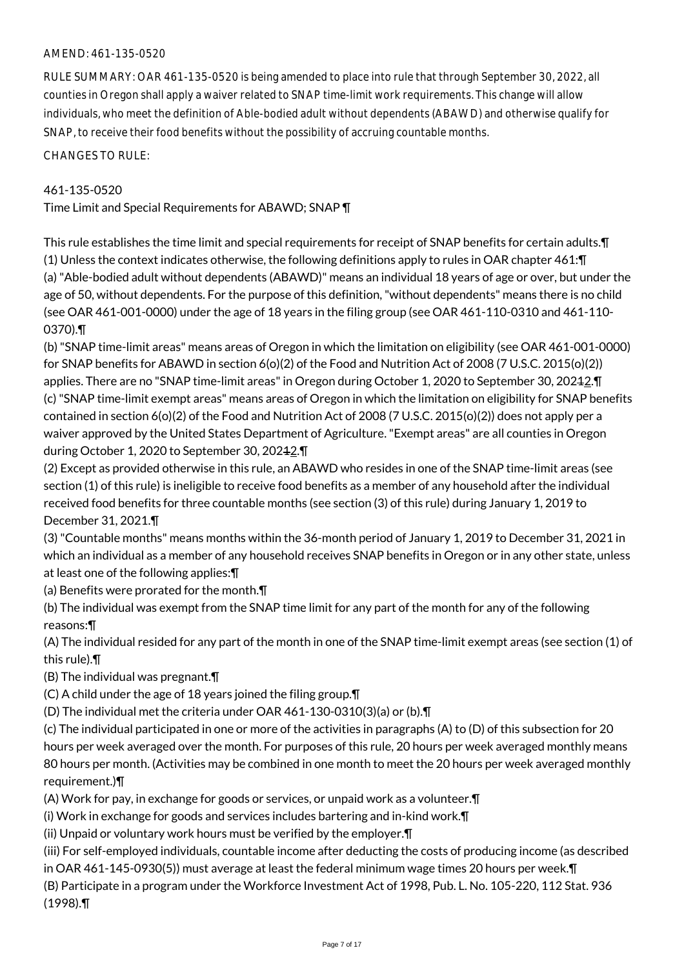## AMEND: 461-135-0520

RULE SUMMARY: OAR 461-135-0520 is being amended to place into rule that through September 30, 2022, all counties in Oregon shall apply a waiver related to SNAP time-limit work requirements. This change will allow individuals, who meet the definition of Able-bodied adult without dependents (ABAWD) and otherwise qualify for SNAP, to receive their food benefits without the possibility of accruing countable months.

CHANGES TO RULE:

### 461-135-0520

Time Limit and Special Requirements for ABAWD; SNAP ¶

This rule establishes the time limit and special requirements for receipt of SNAP benefits for certain adults.¶ (1) Unless the context indicates otherwise, the following definitions apply to rules in OAR chapter 461:¶ (a) "Able-bodied adult without dependents (ABAWD)" means an individual 18 years of age or over, but under the age of 50, without dependents. For the purpose of this definition, "without dependents" means there is no child (see OAR 461-001-0000) under the age of 18 years in the filing group (see OAR 461-110-0310 and 461-110- 0370).¶

(b) "SNAP time-limit areas" means areas of Oregon in which the limitation on eligibility (see OAR 461-001-0000) for SNAP benefits for ABAWD in section 6(o)(2) of the Food and Nutrition Act of 2008 (7 U.S.C. 2015(o)(2)) applies. There are no "SNAP time-limit areas" in Oregon during October 1, 2020 to September 30, 20242. T (c) "SNAP time-limit exempt areas" means areas of Oregon in which the limitation on eligibility for SNAP benefits contained in section 6(o)(2) of the Food and Nutrition Act of 2008 (7 U.S.C. 2015(o)(2)) does not apply per a waiver approved by the United States Department of Agriculture. "Exempt areas" are all counties in Oregon during October 1, 2020 to September 30, 20212.¶

(2) Except as provided otherwise in this rule, an ABAWD who resides in one of the SNAP time-limit areas (see section (1) of this rule) is ineligible to receive food benefits as a member of any household after the individual received food benefits for three countable months (see section (3) of this rule) during January 1, 2019 to December 31, 2021.¶

(3) "Countable months" means months within the 36-month period of January 1, 2019 to December 31, 2021 in which an individual as a member of any household receives SNAP benefits in Oregon or in any other state, unless at least one of the following applies:¶

(a) Benefits were prorated for the month.¶

(b) The individual was exempt from the SNAP time limit for any part of the month for any of the following reasons:¶

(A) The individual resided for any part of the month in one of the SNAP time-limit exempt areas (see section (1) of this rule).¶

(B) The individual was pregnant.¶

(C) A child under the age of 18 years joined the filing group.¶

(D) The individual met the criteria under OAR 461-130-0310(3)(a) or (b).¶

(c) The individual participated in one or more of the activities in paragraphs (A) to (D) of this subsection for 20 hours per week averaged over the month. For purposes of this rule, 20 hours per week averaged monthly means 80 hours per month. (Activities may be combined in one month to meet the 20 hours per week averaged monthly requirement.)¶

(A) Work for pay, in exchange for goods or services, or unpaid work as a volunteer.¶

(i) Work in exchange for goods and services includes bartering and in-kind work.¶

(ii) Unpaid or voluntary work hours must be verified by the employer.¶

(iii) For self-employed individuals, countable income after deducting the costs of producing income (as described in OAR 461-145-0930(5)) must average at least the federal minimum wage times 20 hours per week.¶

(B) Participate in a program under the Workforce Investment Act of 1998, Pub. L. No. 105-220, 112 Stat. 936 (1998).¶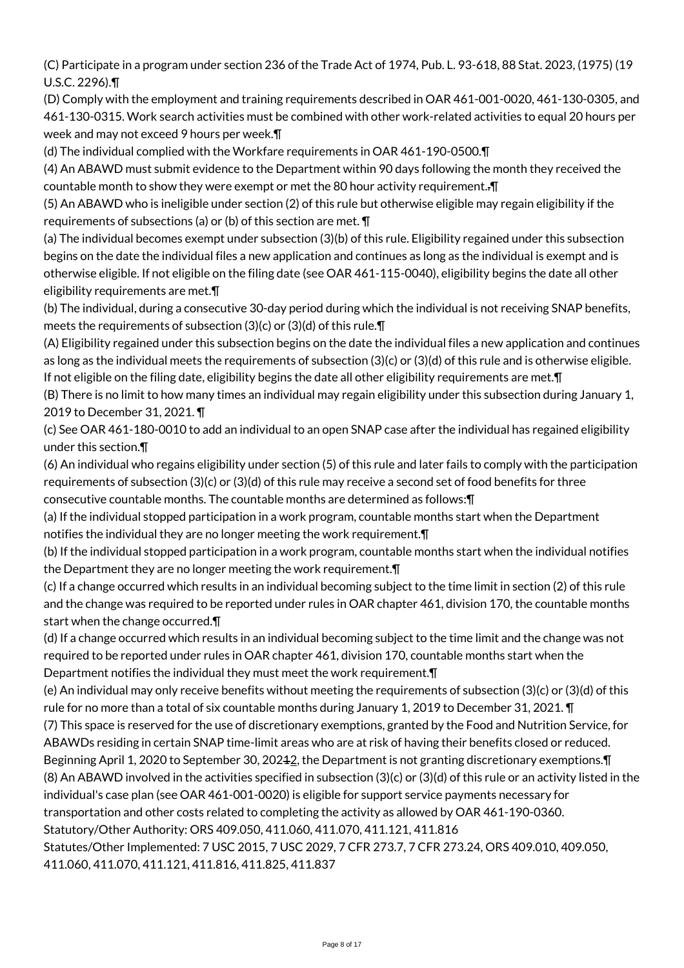(C) Participate in a program under section 236 of the Trade Act of 1974, Pub. L. 93-618, 88 Stat. 2023, (1975) (19 U.S.C. 2296).¶

(D) Comply with the employment and training requirements described in OAR 461-001-0020, 461-130-0305, and 461-130-0315. Work search activities must be combined with other work-related activities to equal 20 hours per week and may not exceed 9 hours per week.¶

(d) The individual complied with the Workfare requirements in OAR 461-190-0500.¶

(4) An ABAWD must submit evidence to the Department within 90 days following the month they received the countable month to show they were exempt or met the 80 hour activity requirement..¶

(5) An ABAWD who is ineligible under section (2) of this rule but otherwise eligible may regain eligibility if the requirements of subsections (a) or (b) of this section are met. ¶

(a) The individual becomes exempt under subsection (3)(b) of this rule. Eligibility regained under this subsection begins on the date the individual files a new application and continues as long as the individual is exempt and is otherwise eligible. If not eligible on the filing date (see OAR 461-115-0040), eligibility begins the date all other eligibility requirements are met.¶

(b) The individual, during a consecutive 30-day period during which the individual is not receiving SNAP benefits, meets the requirements of subsection (3)(c) or (3)(d) of this rule.¶

(A) Eligibility regained under this subsection begins on the date the individual files a new application and continues as long as the individual meets the requirements of subsection (3)(c) or (3)(d) of this rule and is otherwise eligible. If not eligible on the filing date, eligibility begins the date all other eligibility requirements are met.¶

(B) There is no limit to how many times an individual may regain eligibility under this subsection during January 1, 2019 to December 31, 2021. ¶

(c) See OAR 461-180-0010 to add an individual to an open SNAP case after the individual has regained eligibility under this section.¶

(6) An individual who regains eligibility under section (5) of this rule and later fails to comply with the participation requirements of subsection (3)(c) or (3)(d) of this rule may receive a second set of food benefits for three consecutive countable months. The countable months are determined as follows:¶

(a) If the individual stopped participation in a work program, countable months start when the Department notifies the individual they are no longer meeting the work requirement.¶

(b) If the individual stopped participation in a work program, countable months start when the individual notifies the Department they are no longer meeting the work requirement.¶

(c) If a change occurred which results in an individual becoming subject to the time limit in section (2) of this rule and the change was required to be reported under rules in OAR chapter 461, division 170, the countable months start when the change occurred.¶

(d) If a change occurred which results in an individual becoming subject to the time limit and the change was not required to be reported under rules in OAR chapter 461, division 170, countable months start when the Department notifies the individual they must meet the work requirement.¶

(e) An individual may only receive benefits without meeting the requirements of subsection (3)(c) or (3)(d) of this rule for no more than a total of six countable months during January 1, 2019 to December 31, 2021. ¶

(7) This space is reserved for the use of discretionary exemptions, granted by the Food and Nutrition Service, for ABAWDs residing in certain SNAP time-limit areas who are at risk of having their benefits closed or reduced. Beginning April 1, 2020 to September 30, 20242, the Department is not granting discretionary exemptions. T

(8) An ABAWD involved in the activities specified in subsection (3)(c) or (3)(d) of this rule or an activity listed in the individual's case plan (see OAR 461-001-0020) is eligible for support service payments necessary for

transportation and other costs related to completing the activity as allowed by OAR 461-190-0360.

Statutory/Other Authority: ORS 409.050, 411.060, 411.070, 411.121, 411.816

Statutes/Other Implemented: 7 USC 2015, 7 USC 2029, 7 CFR 273.7, 7 CFR 273.24, ORS 409.010, 409.050, 411.060, 411.070, 411.121, 411.816, 411.825, 411.837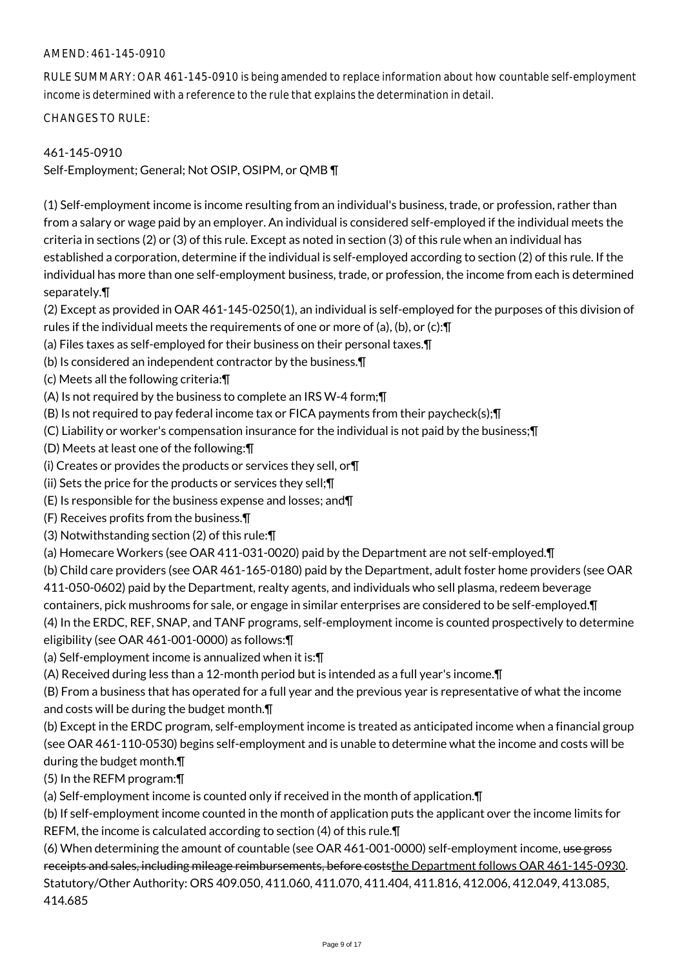## AMEND: 461-145-0910

RULE SUMMARY: OAR 461-145-0910 is being amended to replace information about how countable self-employment income is determined with a reference to the rule that explains the determination in detail.

CHANGES TO RULE:

### 461-145-0910

Self-Employment; General; Not OSIP, OSIPM, or QMB ¶

(1) Self-employment income is income resulting from an individual's business, trade, or profession, rather than from a salary or wage paid by an employer. An individual is considered self-employed if the individual meets the criteria in sections (2) or (3) of this rule. Except as noted in section (3) of this rule when an individual has established a corporation, determine if the individual is self-employed according to section (2) of this rule. If the individual has more than one self-employment business, trade, or profession, the income from each is determined separately.¶

(2) Except as provided in OAR 461-145-0250(1), an individual is self-employed for the purposes of this division of rules if the individual meets the requirements of one or more of (a), (b), or (c):¶

- (a) Files taxes as self-employed for their business on their personal taxes.¶
- (b) Is considered an independent contractor by the business.¶
- (c) Meets all the following criteria:¶
- (A) Is not required by the business to complete an IRS W-4 form;¶
- (B) Is not required to pay federal income tax or FICA payments from their paycheck(s);¶
- (C) Liability or worker's compensation insurance for the individual is not paid by the business;¶
- (D) Meets at least one of the following:¶
- (i) Creates or provides the products or services they sell, or¶
- (ii) Sets the price for the products or services they sell;¶
- (E) Is responsible for the business expense and losses; and¶
- (F) Receives profits from the business.¶
- (3) Notwithstanding section (2) of this rule:¶
- (a) Homecare Workers (see OAR 411-031-0020) paid by the Department are not self-employed.¶
- (b) Child care providers (see OAR 461-165-0180) paid by the Department, adult foster home providers (see OAR

411-050-0602) paid by the Department, realty agents, and individuals who sell plasma, redeem beverage

containers, pick mushrooms for sale, or engage in similar enterprises are considered to be self-employed.¶

(4) In the ERDC, REF, SNAP, and TANF programs, self-employment income is counted prospectively to determine eligibility (see OAR 461-001-0000) as follows:¶

(a) Self-employment income is annualized when it is:¶

(A) Received during less than a 12-month period but is intended as a full year's income.¶

(B) From a business that has operated for a full year and the previous year is representative of what the income and costs will be during the budget month.¶

(b) Except in the ERDC program, self-employment income is treated as anticipated income when a financial group (see OAR 461-110-0530) begins self-employment and is unable to determine what the income and costs will be during the budget month.¶

(5) In the REFM program:¶

(a) Self-employment income is counted only if received in the month of application.¶

(b) If self-employment income counted in the month of application puts the applicant over the income limits for REFM, the income is calculated according to section (4) of this rule.¶

(6) When determining the amount of countable (see OAR 461-001-0000) self-employment income, use gross receipts and sales, including mileage reimbursements, before coststhe Department follows OAR 461-145-0930. Statutory/Other Authority: ORS 409.050, 411.060, 411.070, 411.404, 411.816, 412.006, 412.049, 413.085, 414.685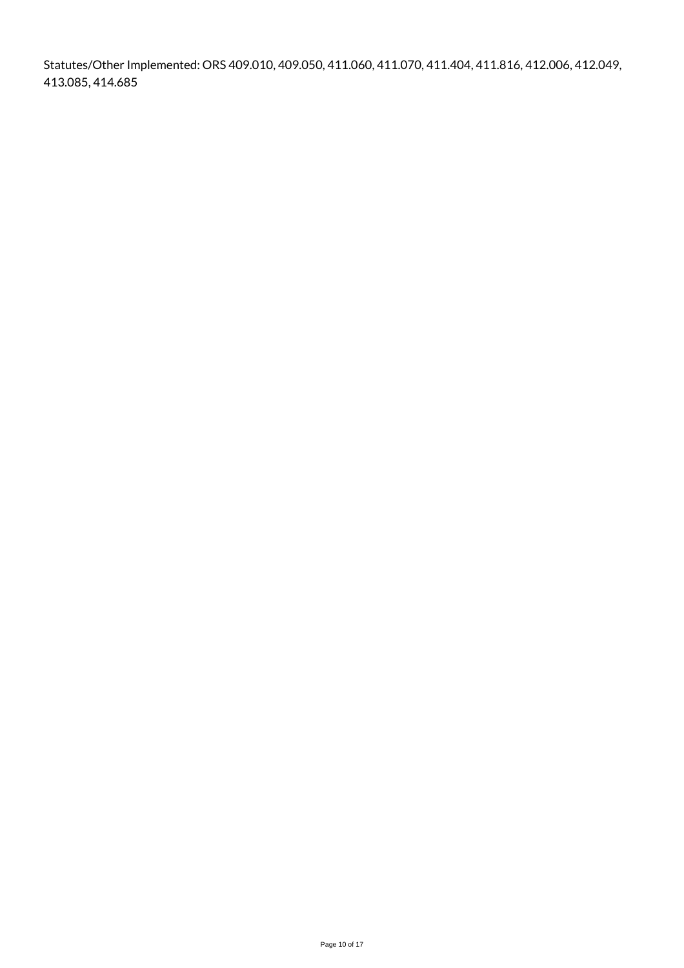Statutes/Other Implemented: ORS 409.010, 409.050, 411.060, 411.070, 411.404, 411.816, 412.006, 412.049, 413.085, 414.685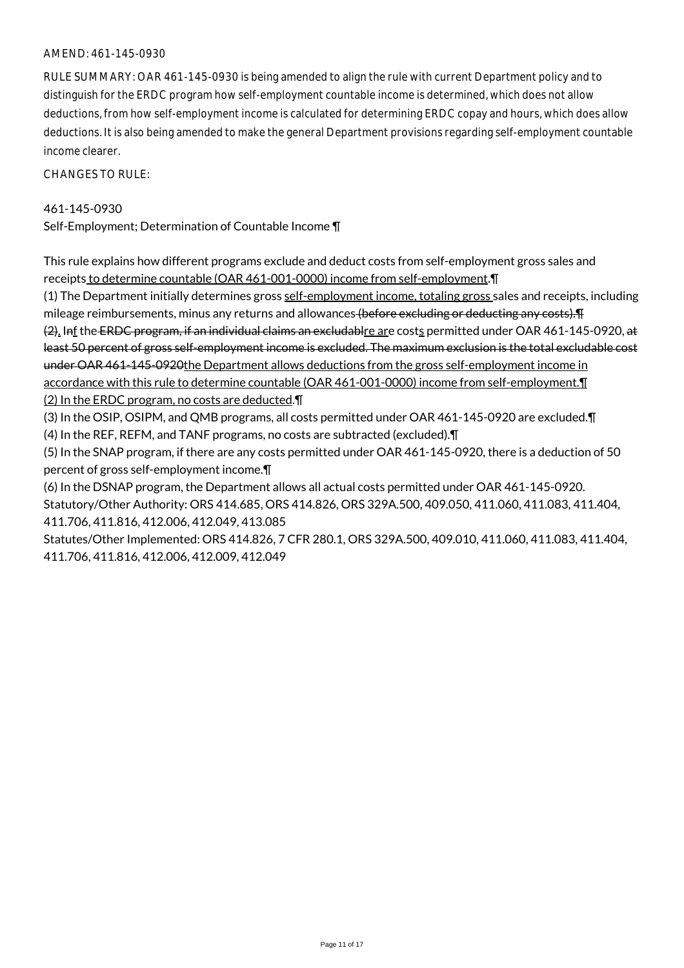### AMEND: 461-145-0930

RULE SUMMARY: OAR 461-145-0930 is being amended to align the rule with current Department policy and to distinguish for the ERDC program how self-employment countable income is determined, which does not allow deductions, from how self-employment income is calculated for determining ERDC copay and hours, which does allow deductions. It is also being amended to make the general Department provisions regarding self-employment countable income clearer.

CHANGES TO RULE:

### 461-145-0930

Self-Employment; Determination of Countable Income ¶

This rule explains how different programs exclude and deduct costs from self-employment gross sales and receipts to determine countable (OAR 461-001-0000) income from self-employment.¶

(1) The Department initially determines gross self-employment income, totaling gross sales and receipts, including mileage reimbursements, minus any returns and allowances (before excluding or deducting any costs). The minima

(2). Inf the ERDC program, if an individual claims an excludablre are costs permitted under OAR 461-145-0920, at least 50 percent of gross self-employment income is excluded. The maximum exclusion is the total excludable cost under OAR 461-145-0920the Department allows deductions from the gross self-employment income in accordance with this rule to determine countable (OAR 461-001-0000) income from self-employment.¶

(2) In the ERDC program, no costs are deducted.¶

(3) In the OSIP, OSIPM, and QMB programs, all costs permitted under OAR 461-145-0920 are excluded.¶ (4) In the REF, REFM, and TANF programs, no costs are subtracted (excluded).¶

(5) In the SNAP program, if there are any costs permitted under OAR 461-145-0920, there is a deduction of 50 percent of gross self-employment income.¶

(6) In the DSNAP program, the Department allows all actual costs permitted under OAR 461-145-0920. Statutory/Other Authority: ORS 414.685, ORS 414.826, ORS 329A.500, 409.050, 411.060, 411.083, 411.404, 411.706, 411.816, 412.006, 412.049, 413.085

Statutes/Other Implemented: ORS 414.826, 7 CFR 280.1, ORS 329A.500, 409.010, 411.060, 411.083, 411.404, 411.706, 411.816, 412.006, 412.009, 412.049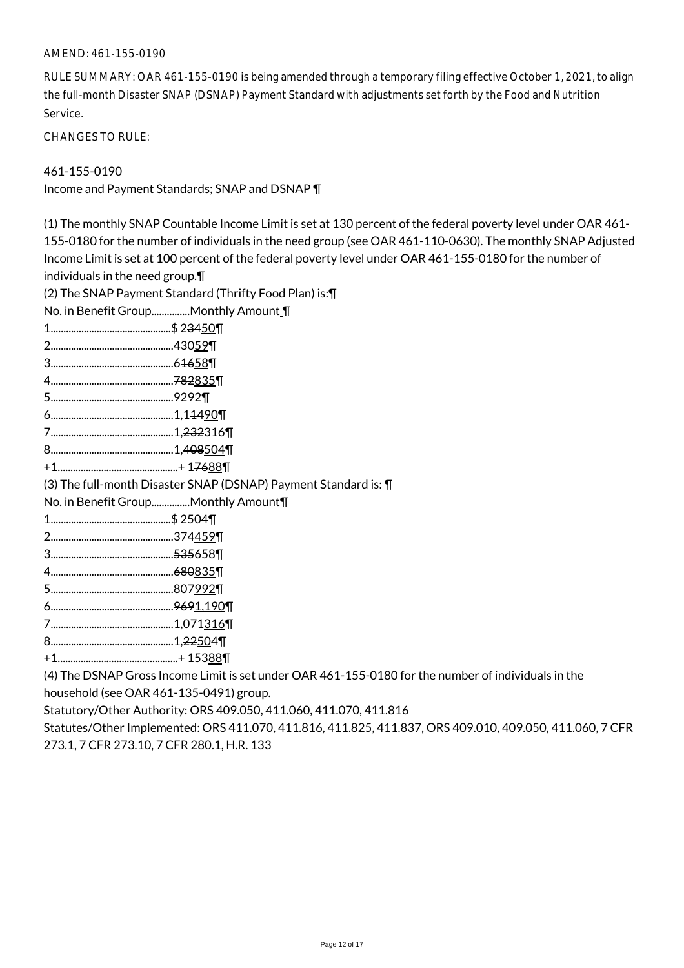#### AMEND: 461-155-0190

RULE SUMMARY: OAR 461-155-0190 is being amended through a temporary filing effective October 1, 2021, to align the full-month Disaster SNAP (DSNAP) Payment Standard with adjustments set forth by the Food and Nutrition Service.

CHANGES TO RULE:

## 461-155-0190

Income and Payment Standards; SNAP and DSNAP ¶

| (1) The monthly SNAP Countable Income Limit is set at 130 percent of the federal poverty level under OAR 461- |
|---------------------------------------------------------------------------------------------------------------|
| 155-0180 for the number of individuals in the need group (see OAR 461-110-0630). The monthly SNAP Adjusted    |
| Income Limit is set at 100 percent of the federal poverty level under OAR 461-155-0180 for the number of      |
|                                                                                                               |
| individuals in the need group. $\P$                                                                           |
| (2) The SNAP Payment Standard (Thrifty Food Plan) is: \[                                                      |
| No. in Benefit GroupMonthly Amount \[                                                                         |
|                                                                                                               |
|                                                                                                               |
|                                                                                                               |
|                                                                                                               |
|                                                                                                               |
|                                                                                                               |
|                                                                                                               |
|                                                                                                               |
|                                                                                                               |
| (3) The full-month Disaster SNAP (DSNAP) Payment Standard is: \[                                              |
| No. in Benefit Group Monthly Amount¶                                                                          |
|                                                                                                               |
|                                                                                                               |
|                                                                                                               |
|                                                                                                               |
|                                                                                                               |
|                                                                                                               |
|                                                                                                               |
|                                                                                                               |
|                                                                                                               |
| (4) The DSNAP Gross Income Limit is set under OAR 461-155-0180 for the number of individuals in the           |
| household (see OAR 461-135-0491) group.                                                                       |

Statutory/Other Authority: ORS 409.050, 411.060, 411.070, 411.816

Statutes/Other Implemented: ORS 411.070, 411.816, 411.825, 411.837, ORS 409.010, 409.050, 411.060, 7 CFR 273.1, 7 CFR 273.10, 7 CFR 280.1, H.R. 133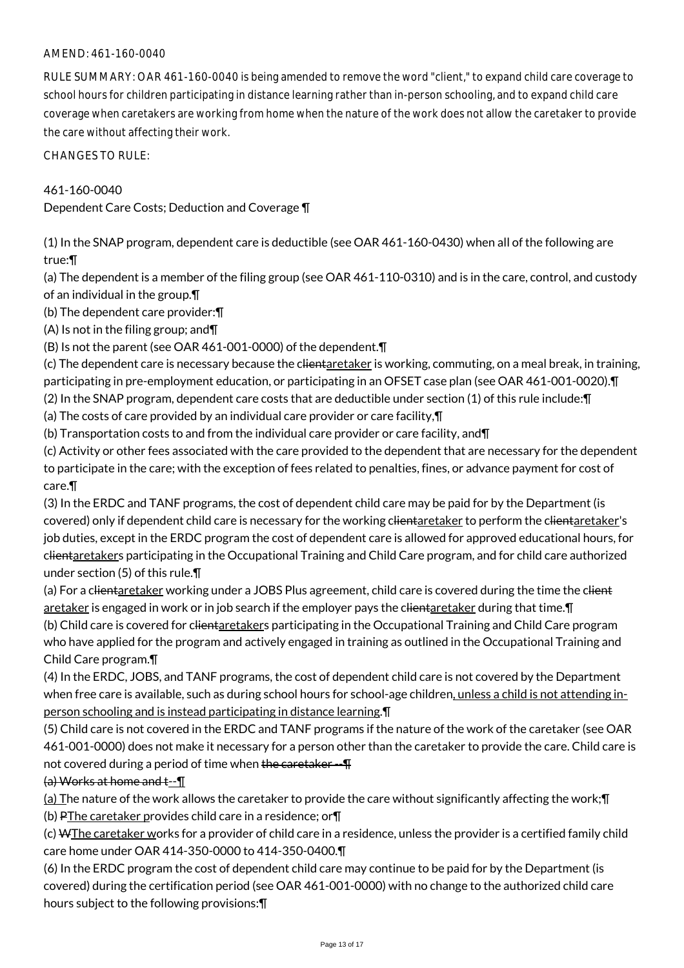## AMEND: 461-160-0040

RULE SUMMARY: OAR 461-160-0040 is being amended to remove the word "client," to expand child care coverage to school hours for children participating in distance learning rather than in-person schooling, and to expand child care coverage when caretakers are working from home when the nature of the work does not allow the caretaker to provide the care without affecting their work.

CHANGES TO RULE:

461-160-0040

Dependent Care Costs; Deduction and Coverage ¶

(1) In the SNAP program, dependent care is deductible (see OAR 461-160-0430) when all of the following are true:¶

(a) The dependent is a member of the filing group (see OAR 461-110-0310) and is in the care, control, and custody of an individual in the group.¶

(b) The dependent care provider:¶

(A) Is not in the filing group; and¶

(B) Is not the parent (see OAR 461-001-0000) of the dependent.¶

(c) The dependent care is necessary because the clientaretaker is working, commuting, on a meal break, in training, participating in pre-employment education, or participating in an OFSET case plan (see OAR 461-001-0020).¶

(2) In the SNAP program, dependent care costs that are deductible under section (1) of this rule include:¶

(a) The costs of care provided by an individual care provider or care facility,¶

(b) Transportation costs to and from the individual care provider or care facility, and¶

(c) Activity or other fees associated with the care provided to the dependent that are necessary for the dependent to participate in the care; with the exception of fees related to penalties, fines, or advance payment for cost of care.¶

(3) In the ERDC and TANF programs, the cost of dependent child care may be paid for by the Department (is covered) only if dependent child care is necessary for the working clientaretaker to perform the clientaretaker's job duties, except in the ERDC program the cost of dependent care is allowed for approved educational hours, for clientaretakers participating in the Occupational Training and Child Care program, and for child care authorized under section (5) of this rule.¶

(a) For a clientaretaker working under a JOBS Plus agreement, child care is covered during the time the client aretaker is engaged in work or in job search if the employer pays the clientaretaker during that time. If (b) Child care is covered for clientaretakers participating in the Occupational Training and Child Care program who have applied for the program and actively engaged in training as outlined in the Occupational Training and Child Care program.¶

(4) In the ERDC, JOBS, and TANF programs, the cost of dependent child care is not covered by the Department when free care is available, such as during school hours for school-age children, unless a child is not attending inperson schooling and is instead participating in distance learning.¶

(5) Child care is not covered in the ERDC and TANF programs if the nature of the work of the caretaker (see OAR 461-001-0000) does not make it necessary for a person other than the caretaker to provide the care. Child care is not covered during a period of time when the caretaker --  $\text{T}$ 

## (a) Works at home and t--¶

(a) The nature of the work allows the caretaker to provide the care without significantly affecting the work;¶ (b) PThe caretaker provides child care in a residence; or¶

(c) WThe caretaker works for a provider of child care in a residence, unless the provider is a certified family child care home under OAR 414-350-0000 to 414-350-0400.¶

(6) In the ERDC program the cost of dependent child care may continue to be paid for by the Department (is covered) during the certification period (see OAR 461-001-0000) with no change to the authorized child care hours subject to the following provisions:¶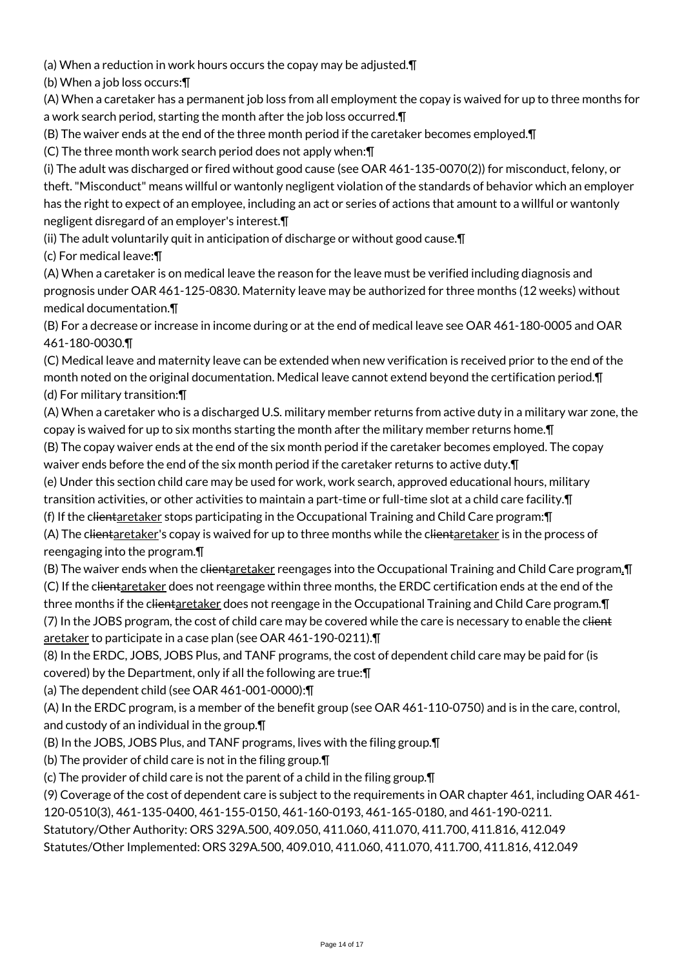(a) When a reduction in work hours occurs the copay may be adjusted.¶

(b) When a job loss occurs:¶

(A) When a caretaker has a permanent job loss from all employment the copay is waived for up to three months for a work search period, starting the month after the job loss occurred.¶

(B) The waiver ends at the end of the three month period if the caretaker becomes employed.¶

(C) The three month work search period does not apply when:¶

(i) The adult was discharged or fired without good cause (see OAR 461-135-0070(2)) for misconduct, felony, or theft. "Misconduct" means willful or wantonly negligent violation of the standards of behavior which an employer has the right to expect of an employee, including an act or series of actions that amount to a willful or wantonly negligent disregard of an employer's interest.¶

(ii) The adult voluntarily quit in anticipation of discharge or without good cause.¶

(c) For medical leave:¶

(A) When a caretaker is on medical leave the reason for the leave must be verified including diagnosis and prognosis under OAR 461-125-0830. Maternity leave may be authorized for three months (12 weeks) without medical documentation.¶

(B) For a decrease or increase in income during or at the end of medical leave see OAR 461-180-0005 and OAR 461-180-0030.¶

(C) Medical leave and maternity leave can be extended when new verification is received prior to the end of the month noted on the original documentation. Medical leave cannot extend beyond the certification period.¶ (d) For military transition:¶

(A) When a caretaker who is a discharged U.S. military member returns from active duty in a military war zone, the copay is waived for up to six months starting the month after the military member returns home.¶

(B) The copay waiver ends at the end of the six month period if the caretaker becomes employed. The copay waiver ends before the end of the six month period if the caretaker returns to active duty.¶

(e) Under this section child care may be used for work, work search, approved educational hours, military transition activities, or other activities to maintain a part-time or full-time slot at a child care facility.¶

(f) If the clientaretaker stops participating in the Occupational Training and Child Care program:¶ (A) The clientaretaker's copay is waived for up to three months while the clientaretaker is in the process of

reengaging into the program.¶

(B) The waiver ends when the clientaretaker reengages into the Occupational Training and Child Care program. I (C) If the clientaretaker does not reengage within three months, the ERDC certification ends at the end of the three months if the clientaretaker does not reengage in the Occupational Training and Child Care program. I (7) In the JOBS program, the cost of child care may be covered while the care is necessary to enable the client aretaker to participate in a case plan (see OAR 461-190-0211).¶

(8) In the ERDC, JOBS, JOBS Plus, and TANF programs, the cost of dependent child care may be paid for (is covered) by the Department, only if all the following are true:¶

(a) The dependent child (see OAR 461-001-0000):¶

(A) In the ERDC program, is a member of the benefit group (see OAR 461-110-0750) and is in the care, control, and custody of an individual in the group.¶

(B) In the JOBS, JOBS Plus, and TANF programs, lives with the filing group.¶

(b) The provider of child care is not in the filing group.¶

(c) The provider of child care is not the parent of a child in the filing group.¶

(9) Coverage of the cost of dependent care is subject to the requirements in OAR chapter 461, including OAR 461- 120-0510(3), 461-135-0400, 461-155-0150, 461-160-0193, 461-165-0180, and 461-190-0211.

Statutory/Other Authority: ORS 329A.500, 409.050, 411.060, 411.070, 411.700, 411.816, 412.049

Statutes/Other Implemented: ORS 329A.500, 409.010, 411.060, 411.070, 411.700, 411.816, 412.049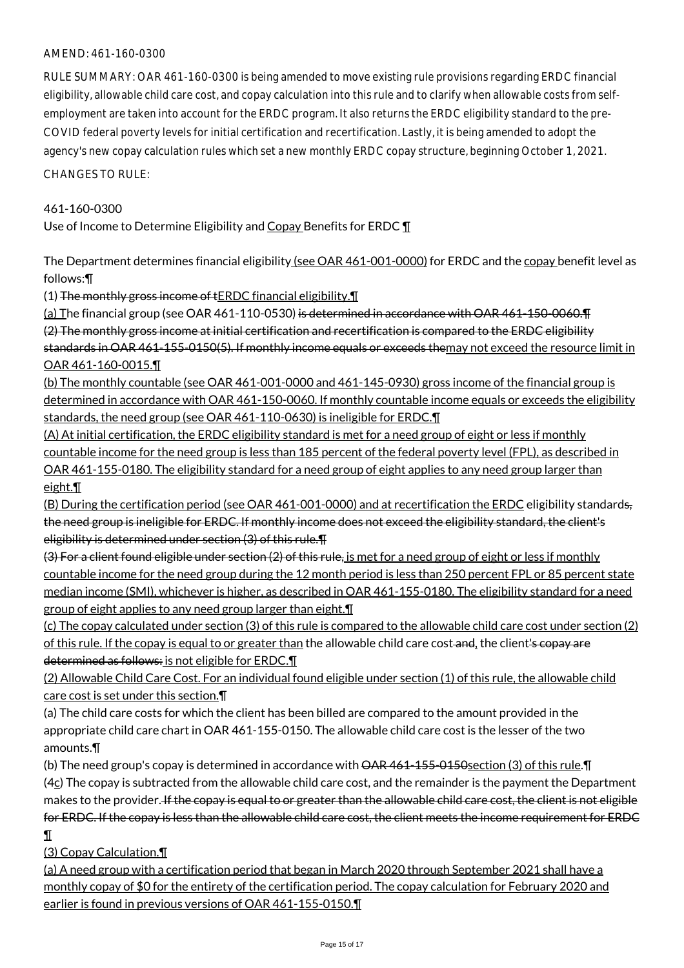## AMEND: 461-160-0300

RULE SUMMARY: OAR 461-160-0300 is being amended to move existing rule provisions regarding ERDC financial eligibility, allowable child care cost, and copay calculation into this rule and to clarify when allowable costs from selfemployment are taken into account for the ERDC program. It also returns the ERDC eligibility standard to the pre-COVID federal poverty levels for initial certification and recertification. Lastly, it is being amended to adopt the agency's new copay calculation rules which set a new monthly ERDC copay structure, beginning October 1, 2021. CHANGES TO RULE:

# 461-160-0300

Use of Income to Determine Eligibility and Copay Benefits for ERDC  $\P$ 

The Department determines financial eligibility (see OAR 461-001-0000) for ERDC and the copay benefit level as follows:¶

(1) The monthly gross income of tERDC financial eligibility.¶

(a) The financial group (see OAR 461-110-0530) is determined in accordance with OAR 461-150-0060. The (2) The monthly gross income at initial certification and recertification is compared to the ERDC eligibility standards in OAR 461-155-0150(5). If monthly income equals or exceeds themay not exceed the resource limit in OAR 461-160-0015.¶

(b) The monthly countable (see OAR 461-001-0000 and 461-145-0930) gross income of the financial group is determined in accordance with OAR 461-150-0060. If monthly countable income equals or exceeds the eligibility standards, the need group (see OAR 461-110-0630) is ineligible for ERDC.¶

(A) At initial certification, the ERDC eligibility standard is met for a need group of eight or less if monthly countable income for the need group is less than 185 percent of the federal poverty level (FPL), as described in OAR 461-155-0180. The eligibility standard for a need group of eight applies to any need group larger than eight.¶

(B) During the certification period (see OAR 461-001-0000) and at recertification the ERDC eligibility standards, the need group is ineligible for ERDC. If monthly income does not exceed the eligibility standard, the client's eligibility is determined under section (3) of this rule.¶

 $(3)$  For a client found eligible under section  $(2)$  of this rule, is met for a need group of eight or less if monthly countable income for the need group during the 12 month period is less than 250 percent FPL or 85 percent state median income (SMI), whichever is higher, as described in OAR 461-155-0180. The eligibility standard for a need group of eight applies to any need group larger than eight.¶

(c) The copay calculated under section (3) of this rule is compared to the allowable child care cost under section (2) of this rule. If the copay is equal to or greater than the allowable child care cost-and, the client's copay are determined as follows: is not eligible for ERDC.¶

(2) Allowable Child Care Cost. For an individual found eligible under section (1) of this rule, the allowable child care cost is set under this section.¶

(a) The child care costs for which the client has been billed are compared to the amount provided in the appropriate child care chart in OAR 461-155-0150. The allowable child care cost is the lesser of the two amounts.¶

(b) The need group's copay is determined in accordance with  $\overline{\text{OAR}}$  461-155-0150section (3) of this rule. The

 $(4c)$  The copay is subtracted from the allowable child care cost, and the remainder is the payment the Department makes to the provider. If the copay is equal to or greater than the allowable child care cost, the client is not eligible for ERDC. If the copay is less than the allowable child care cost, the client meets the income requirement for ERDC ¶

(3) Copay Calculation.¶

(a) A need group with a certification period that began in March 2020 through September 2021 shall have a monthly copay of \$0 for the entirety of the certification period. The copay calculation for February 2020 and earlier is found in previous versions of OAR 461-155-0150.¶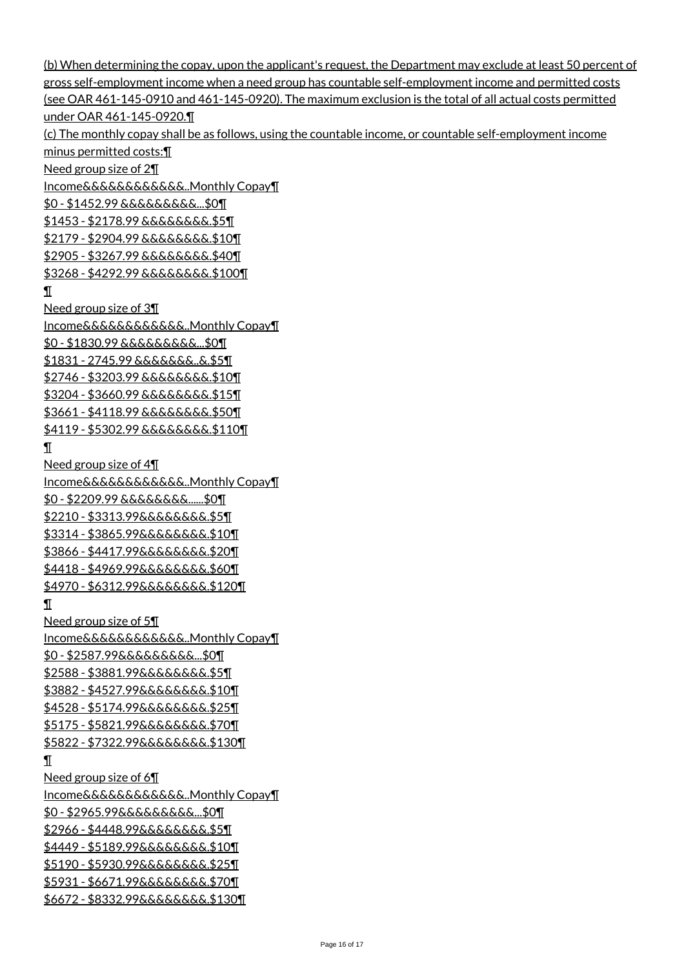(b) When determining the copay, upon the applicant's request, the Department may exclude at least 50 percent of gross self-employment income when a need group has countable self-employment income and permitted costs (see OAR 461-145-0910 and 461-145-0920). The maximum exclusion is the total of all actual costs permitted under OAR 461-145-0920.¶ (c) The monthly copay shall be as follows, using the countable income, or countable self-employment income minus permitted costs:¶ Need group size of 2¶ Income&&&&&&&&&&&&..Monthly Copay¶ \$0 - \$1452.99 &&&&&&&&&...\$0¶ \$1453 - \$2178.99 &&&&&&&&.\$5¶ \$2179 - \$2904.99 &&&&&&&&.\$10¶ \$2905 - \$3267.99 &&&&&&&&.\$40¶ \$3268 - \$4292.99 &&&&&&&&.\$100¶ ¶ Need group size of 3¶ Income&&&&&&&&&&&&..Monthly Copay¶ \$0 - \$1830.99 &&&&&&&&&...\$0¶ \$1831 - 2745.99 &&&&&&&..&.\$5¶ \$2746 - \$3203.99 &&&&&&&&.\$10¶ \$3204 - \$3660.99 &&&&&&&&.\$15¶ \$3661 - \$4118.99 &&&&&&&&.\$50¶ \$4119 - \$5302.99 &&&&&&&&.\$110¶ ¶ Need group size of 4¶ Income&&&&&&&&&&&&..Monthly Copay¶ \$0 - \$2209.99 &&&&&&&&......\$0¶ \$2210 - \$3313.99&&&&&&&&.\$5¶ \$3314 - \$3865.99&&&&&&&&.\$10¶ \$3866 - \$4417.99&&&&&&&&.\$20¶ \$4418 - \$4969.99&&&&&&&&.\$60¶ \$4970 - \$6312.99&&&&&&&&.\$120¶ ¶ Need group size of 5¶ Income&&&&&&&&&&&&..Monthly Copay¶ \$0 - \$2587.99&&&&&&&&&...\$0¶ \$2588 - \$3881.99&&&&&&&&.\$5¶ \$3882 - \$4527.99&&&&&&&&.\$10¶ \$4528 - \$5174.99&&&&&&&&.\$25¶ \$5175 - \$5821.99&&&&&&&&.\$70¶ \$5822 - \$7322.99&&&&&&&&.\$130¶ ¶ Need group size of 6¶ Income&&&&&&&&&&&&..Monthly Copay¶ \$0 - \$2965.99&&&&&&&&&...\$0¶ \$2966 - \$4448.99&&&&&&&&.\$5¶ <u>\$4449 - \$5189.99&&&&&&&&.\$10¶</u> \$5190 - \$5930.99&&&&&&&&.\$25¶ \$5931 - \$6671.99&&&&&&&&.\$70¶ \$6672 - \$8332.99&&&&&&&&.\$130¶